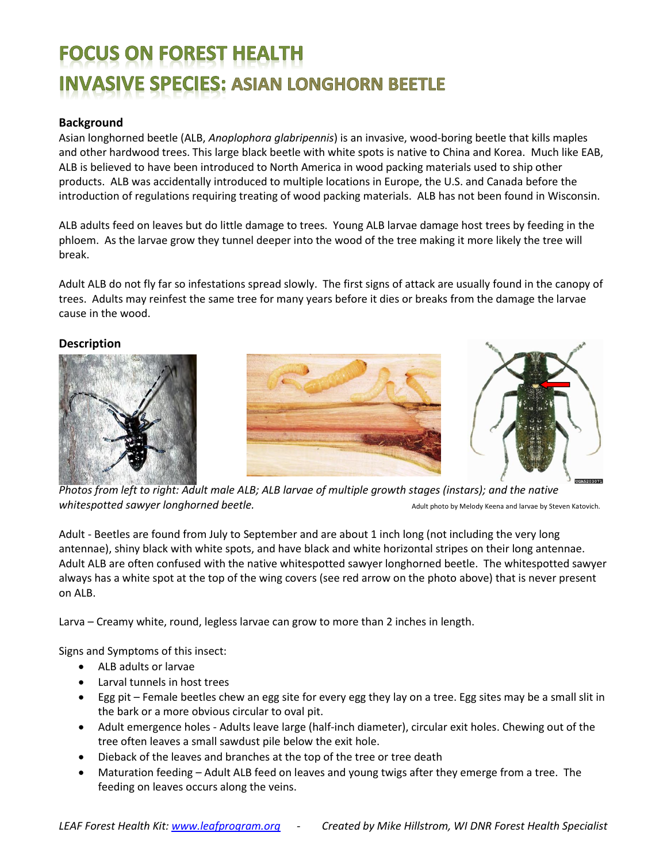# **FOCUS ON FOREST HEALTH INVASIVE SPECIES: ASIAN LONGHORN BEETLE**

# **Background**

Asian longhorned beetle (ALB, *Anoplophora glabripennis*) is an invasive, wood-boring beetle that kills maples and other hardwood trees. This large black beetle with white spots is native to China and Korea. Much like EAB, ALB is believed to have been introduced to North America in wood packing materials used to ship other products. ALB was accidentally introduced to multiple locations in Europe, the U.S. and Canada before the introduction of regulations requiring treating of wood packing materials. ALB has not been found in Wisconsin.

ALB adults feed on leaves but do little damage to trees. Young ALB larvae damage host trees by feeding in the phloem. As the larvae grow they tunnel deeper into the wood of the tree making it more likely the tree will break.

Adult ALB do not fly far so infestations spread slowly. The first signs of attack are usually found in the canopy of trees. Adults may reinfest the same tree for many years before it dies or breaks from the damage the larvae cause in the wood.

#### **Description**





*Photos from left to right: Adult male ALB; ALB larvae of multiple growth stages (instars); and the native*  Whitespotted sawyer longhorned beetle. The same of the same adult photo by Melody Keena and larvae by Steven Katovich.

Adult - Beetles are found from July to September and are about 1 inch long (not including the very long antennae), shiny black with white spots, and have black and white horizontal stripes on their long antennae. Adult ALB are often confused with the native whitespotted sawyer longhorned beetle. The whitespotted sawyer always has a white spot at the top of the wing covers (see red arrow on the photo above) that is never present on ALB.

Larva – Creamy white, round, legless larvae can grow to more than 2 inches in length.

Signs and Symptoms of this insect:

- ALB adults or larvae
- Larval tunnels in host trees
- Egg pit Female beetles chew an egg site for every egg they lay on a tree. Egg sites may be a small slit in the bark or a more obvious circular to oval pit.
- Adult emergence holes Adults leave large (half-inch diameter), circular exit holes. Chewing out of the tree often leaves a small sawdust pile below the exit hole.
- Dieback of the leaves and branches at the top of the tree or tree death
- Maturation feeding Adult ALB feed on leaves and young twigs after they emerge from a tree. The feeding on leaves occurs along the veins.